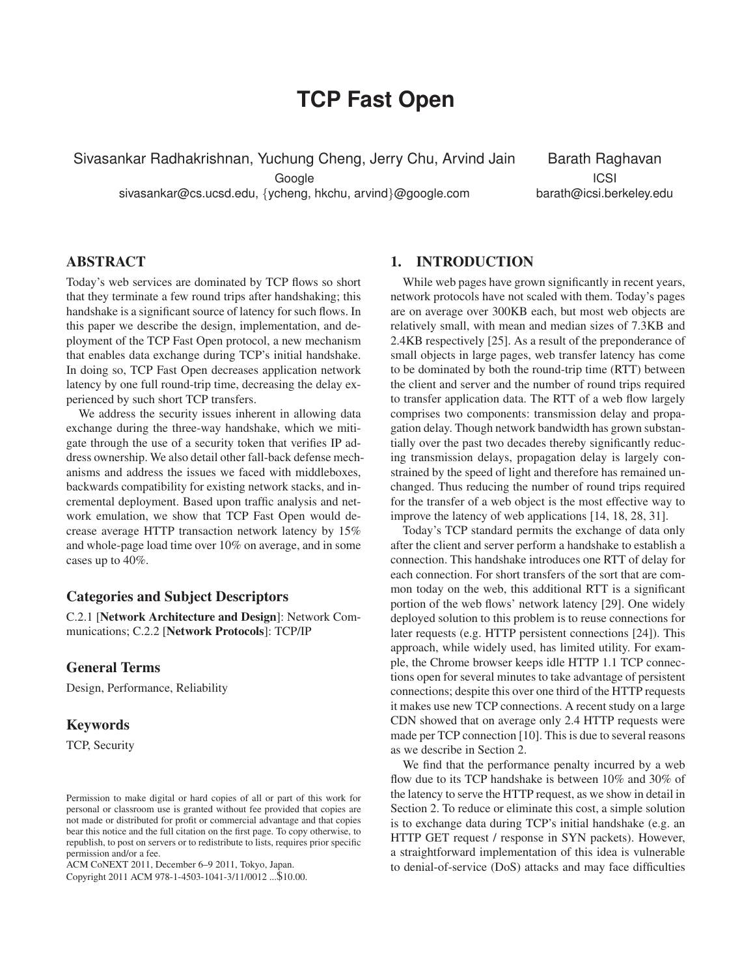# **TCP Fast Open**

Sivasankar Radhakrishnan, Yuchung Cheng, Jerry Chu, Arvind Jain

Google

sivasankar@cs.ucsd.edu, {ycheng, hkchu, arvind}@google.com

Barath Raghavan ICSI barath@icsi.berkeley.edu

## **ABSTRACT**

Today's web services are dominated by TCP flows so short that they terminate a few round trips after handshaking; this handshake is a significant source of latency for such flows. In this paper we describe the design, implementation, and deployment of the TCP Fast Open protocol, a new mechanism that enables data exchange during TCP's initial handshake. In doing so, TCP Fast Open decreases application network latency by one full round-trip time, decreasing the delay experienced by such short TCP transfers.

We address the security issues inherent in allowing data exchange during the three-way handshake, which we mitigate through the use of a security token that verifies IP address ownership. We also detail other fall-back defense mechanisms and address the issues we faced with middleboxes, backwards compatibility for existing network stacks, and incremental deployment. Based upon traffic analysis and network emulation, we show that TCP Fast Open would decrease average HTTP transaction network latency by 15% and whole-page load time over 10% on average, and in some cases up to 40%.

## **Categories and Subject Descriptors**

C.2.1 [**Network Architecture and Design**]: Network Communications; C.2.2 [**Network Protocols**]: TCP/IP

## **General Terms**

Design, Performance, Reliability

#### **Keywords**

TCP, Security

ACM CoNEXT 2011, December 6–9 2011, Tokyo, Japan.

Copyright 2011 ACM 978-1-4503-1041-3/11/0012 ...\$10.00.

#### **1. INTRODUCTION**

While web pages have grown significantly in recent years, network protocols have not scaled with them. Today's pages are on average over 300KB each, but most web objects are relatively small, with mean and median sizes of 7.3KB and 2.4KB respectively [25]. As a result of the preponderance of small objects in large pages, web transfer latency has come to be dominated by both the round-trip time (RTT) between the client and server and the number of round trips required to transfer application data. The RTT of a web flow largely comprises two components: transmission delay and propagation delay. Though network bandwidth has grown substantially over the past two decades thereby significantly reducing transmission delays, propagation delay is largely constrained by the speed of light and therefore has remained unchanged. Thus reducing the number of round trips required for the transfer of a web object is the most effective way to improve the latency of web applications [14, 18, 28, 31].

Today's TCP standard permits the exchange of data only after the client and server perform a handshake to establish a connection. This handshake introduces one RTT of delay for each connection. For short transfers of the sort that are common today on the web, this additional RTT is a significant portion of the web flows' network latency [29]. One widely deployed solution to this problem is to reuse connections for later requests (e.g. HTTP persistent connections [24]). This approach, while widely used, has limited utility. For example, the Chrome browser keeps idle HTTP 1.1 TCP connections open for several minutes to take advantage of persistent connections; despite this over one third of the HTTP requests it makes use new TCP connections. A recent study on a large CDN showed that on average only 2.4 HTTP requests were made per TCP connection [10]. This is due to several reasons as we describe in Section 2.

We find that the performance penalty incurred by a web flow due to its TCP handshake is between 10% and 30% of the latency to serve the HTTP request, as we show in detail in Section 2. To reduce or eliminate this cost, a simple solution is to exchange data during TCP's initial handshake (e.g. an HTTP GET request / response in SYN packets). However, a straightforward implementation of this idea is vulnerable to denial-of-service (DoS) attacks and may face difficulties

Permission to make digital or hard copies of all or part of this work for personal or classroom use is granted without fee provided that copies are not made or distributed for profit or commercial advantage and that copies bear this notice and the full citation on the first page. To copy otherwise, to republish, to post on servers or to redistribute to lists, requires prior specific permission and/or a fee.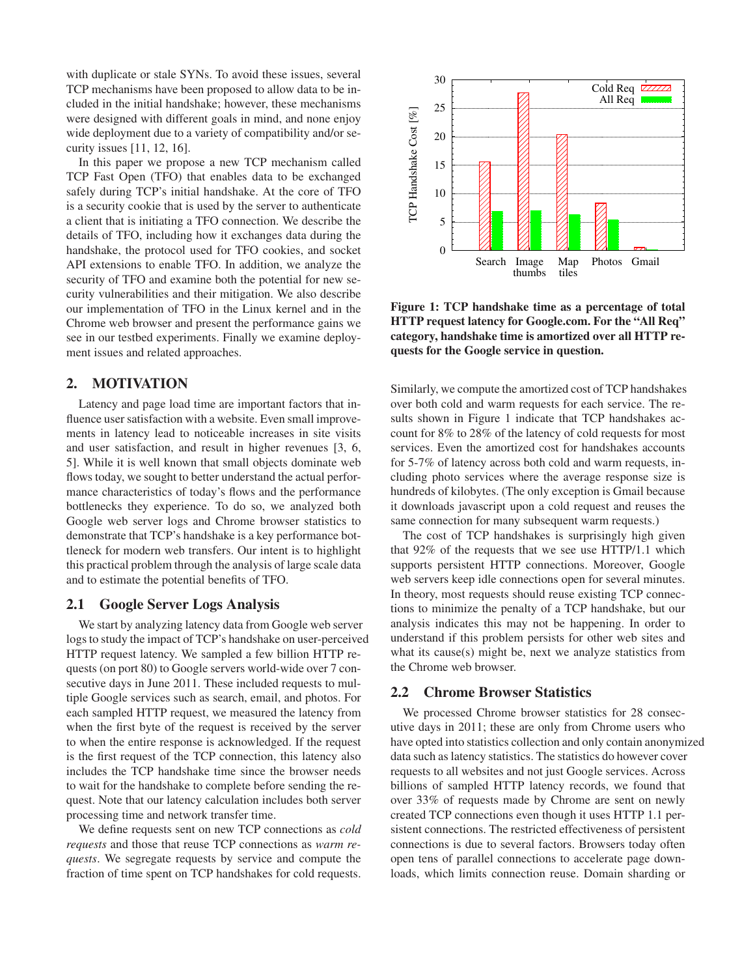with duplicate or stale SYNs. To avoid these issues, several TCP mechanisms have been proposed to allow data to be included in the initial handshake; however, these mechanisms were designed with different goals in mind, and none enjoy wide deployment due to a variety of compatibility and/or security issues [11, 12, 16].

In this paper we propose a new TCP mechanism called TCP Fast Open (TFO) that enables data to be exchanged safely during TCP's initial handshake. At the core of TFO is a security cookie that is used by the server to authenticate a client that is initiating a TFO connection. We describe the details of TFO, including how it exchanges data during the handshake, the protocol used for TFO cookies, and socket API extensions to enable TFO. In addition, we analyze the security of TFO and examine both the potential for new security vulnerabilities and their mitigation. We also describe our implementation of TFO in the Linux kernel and in the Chrome web browser and present the performance gains we see in our testbed experiments. Finally we examine deployment issues and related approaches.

## **2. MOTIVATION**

Latency and page load time are important factors that influence user satisfaction with a website. Even small improvements in latency lead to noticeable increases in site visits and user satisfaction, and result in higher revenues [3, 6, 5]. While it is well known that small objects dominate web flows today, we sought to better understand the actual performance characteristics of today's flows and the performance bottlenecks they experience. To do so, we analyzed both Google web server logs and Chrome browser statistics to demonstrate that TCP's handshake is a key performance bottleneck for modern web transfers. Our intent is to highlight this practical problem through the analysis of large scale data and to estimate the potential benefits of TFO.

#### **2.1 Google Server Logs Analysis**

We start by analyzing latency data from Google web server logs to study the impact of TCP's handshake on user-perceived HTTP request latency. We sampled a few billion HTTP requests (on port 80) to Google servers world-wide over 7 consecutive days in June 2011. These included requests to multiple Google services such as search, email, and photos. For each sampled HTTP request, we measured the latency from when the first byte of the request is received by the server to when the entire response is acknowledged. If the request is the first request of the TCP connection, this latency also includes the TCP handshake time since the browser needs to wait for the handshake to complete before sending the request. Note that our latency calculation includes both server processing time and network transfer time.

We define requests sent on new TCP connections as *cold requests* and those that reuse TCP connections as *warm requests*. We segregate requests by service and compute the fraction of time spent on TCP handshakes for cold requests.



**Figure 1: TCP handshake time as a percentage of total HTTP request latency for Google.com. For the "All Req" category, handshake time is amortized over all HTTP requests for the Google service in question.**

Similarly, we compute the amortized cost of TCP handshakes over both cold and warm requests for each service. The results shown in Figure 1 indicate that TCP handshakes account for 8% to 28% of the latency of cold requests for most services. Even the amortized cost for handshakes accounts for 5-7% of latency across both cold and warm requests, including photo services where the average response size is hundreds of kilobytes. (The only exception is Gmail because it downloads javascript upon a cold request and reuses the same connection for many subsequent warm requests.)

The cost of TCP handshakes is surprisingly high given that 92% of the requests that we see use HTTP/1.1 which supports persistent HTTP connections. Moreover, Google web servers keep idle connections open for several minutes. In theory, most requests should reuse existing TCP connections to minimize the penalty of a TCP handshake, but our analysis indicates this may not be happening. In order to understand if this problem persists for other web sites and what its cause(s) might be, next we analyze statistics from the Chrome web browser.

### **2.2 Chrome Browser Statistics**

We processed Chrome browser statistics for 28 consecutive days in 2011; these are only from Chrome users who have opted into statistics collection and only contain anonymized data such as latency statistics. The statistics do however cover requests to all websites and not just Google services. Across billions of sampled HTTP latency records, we found that over 33% of requests made by Chrome are sent on newly created TCP connections even though it uses HTTP 1.1 persistent connections. The restricted effectiveness of persistent connections is due to several factors. Browsers today often open tens of parallel connections to accelerate page downloads, which limits connection reuse. Domain sharding or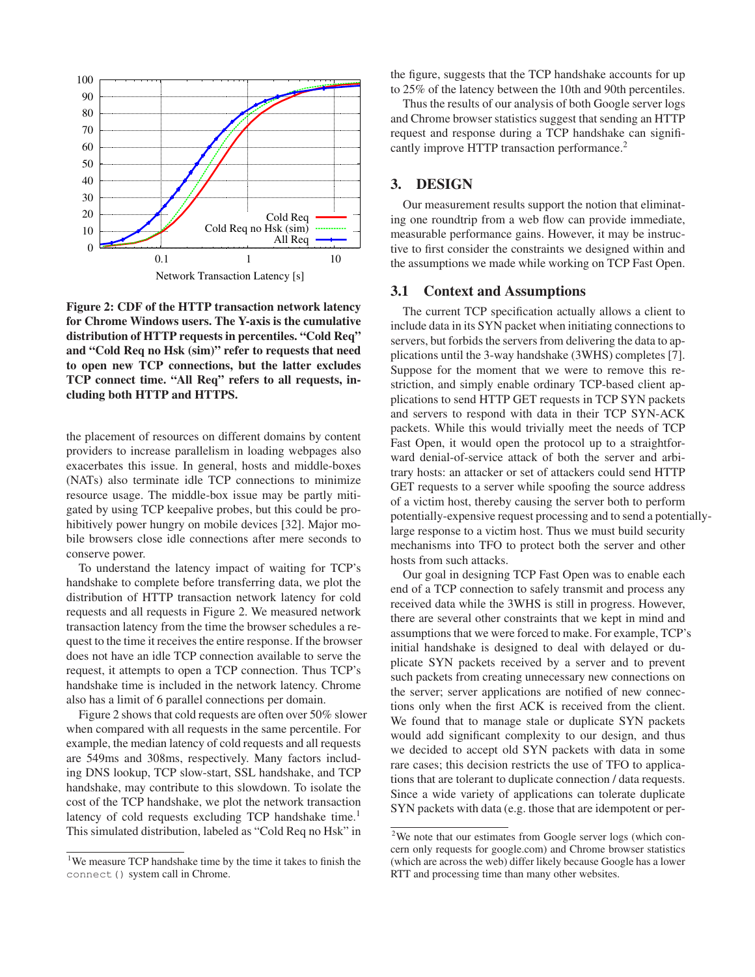

**Figure 2: CDF of the HTTP transaction network latency for Chrome Windows users. The Y-axis is the cumulative distribution of HTTP requests in percentiles. "Cold Req" and "Cold Req no Hsk (sim)" refer to requests that need to open new TCP connections, but the latter excludes TCP connect time. "All Req" refers to all requests, including both HTTP and HTTPS.**

the placement of resources on different domains by content providers to increase parallelism in loading webpages also exacerbates this issue. In general, hosts and middle-boxes (NATs) also terminate idle TCP connections to minimize resource usage. The middle-box issue may be partly mitigated by using TCP keepalive probes, but this could be prohibitively power hungry on mobile devices [32]. Major mobile browsers close idle connections after mere seconds to conserve power.

To understand the latency impact of waiting for TCP's handshake to complete before transferring data, we plot the distribution of HTTP transaction network latency for cold requests and all requests in Figure 2. We measured network transaction latency from the time the browser schedules a request to the time it receives the entire response. If the browser does not have an idle TCP connection available to serve the request, it attempts to open a TCP connection. Thus TCP's handshake time is included in the network latency. Chrome also has a limit of 6 parallel connections per domain.

Figure 2 shows that cold requests are often over 50% slower when compared with all requests in the same percentile. For example, the median latency of cold requests and all requests are 549ms and 308ms, respectively. Many factors including DNS lookup, TCP slow-start, SSL handshake, and TCP handshake, may contribute to this slowdown. To isolate the cost of the TCP handshake, we plot the network transaction latency of cold requests excluding TCP handshake time.<sup>1</sup> This simulated distribution, labeled as "Cold Req no Hsk" in

the figure, suggests that the TCP handshake accounts for up to 25% of the latency between the 10th and 90th percentiles.

Thus the results of our analysis of both Google server logs and Chrome browser statistics suggest that sending an HTTP request and response during a TCP handshake can significantly improve HTTP transaction performance.<sup>2</sup>

#### **3. DESIGN**

Our measurement results support the notion that eliminating one roundtrip from a web flow can provide immediate, measurable performance gains. However, it may be instructive to first consider the constraints we designed within and the assumptions we made while working on TCP Fast Open.

#### **3.1 Context and Assumptions**

The current TCP specification actually allows a client to include data in its SYN packet when initiating connections to servers, but forbids the servers from delivering the data to applications until the 3-way handshake (3WHS) completes [7]. Suppose for the moment that we were to remove this restriction, and simply enable ordinary TCP-based client applications to send HTTP GET requests in TCP SYN packets and servers to respond with data in their TCP SYN-ACK packets. While this would trivially meet the needs of TCP Fast Open, it would open the protocol up to a straightforward denial-of-service attack of both the server and arbitrary hosts: an attacker or set of attackers could send HTTP GET requests to a server while spoofing the source address of a victim host, thereby causing the server both to perform potentially-expensive request processing and to send a potentiallylarge response to a victim host. Thus we must build security mechanisms into TFO to protect both the server and other hosts from such attacks.

Our goal in designing TCP Fast Open was to enable each end of a TCP connection to safely transmit and process any received data while the 3WHS is still in progress. However, there are several other constraints that we kept in mind and assumptions that we were forced to make. For example, TCP's initial handshake is designed to deal with delayed or duplicate SYN packets received by a server and to prevent such packets from creating unnecessary new connections on the server; server applications are notified of new connections only when the first ACK is received from the client. We found that to manage stale or duplicate SYN packets would add significant complexity to our design, and thus we decided to accept old SYN packets with data in some rare cases; this decision restricts the use of TFO to applications that are tolerant to duplicate connection / data requests. Since a wide variety of applications can tolerate duplicate SYN packets with data (e.g. those that are idempotent or per-

<sup>&</sup>lt;sup>1</sup>We measure TCP handshake time by the time it takes to finish the connect() system call in Chrome.

<sup>&</sup>lt;sup>2</sup>We note that our estimates from Google server logs (which concern only requests for google.com) and Chrome browser statistics (which are across the web) differ likely because Google has a lower RTT and processing time than many other websites.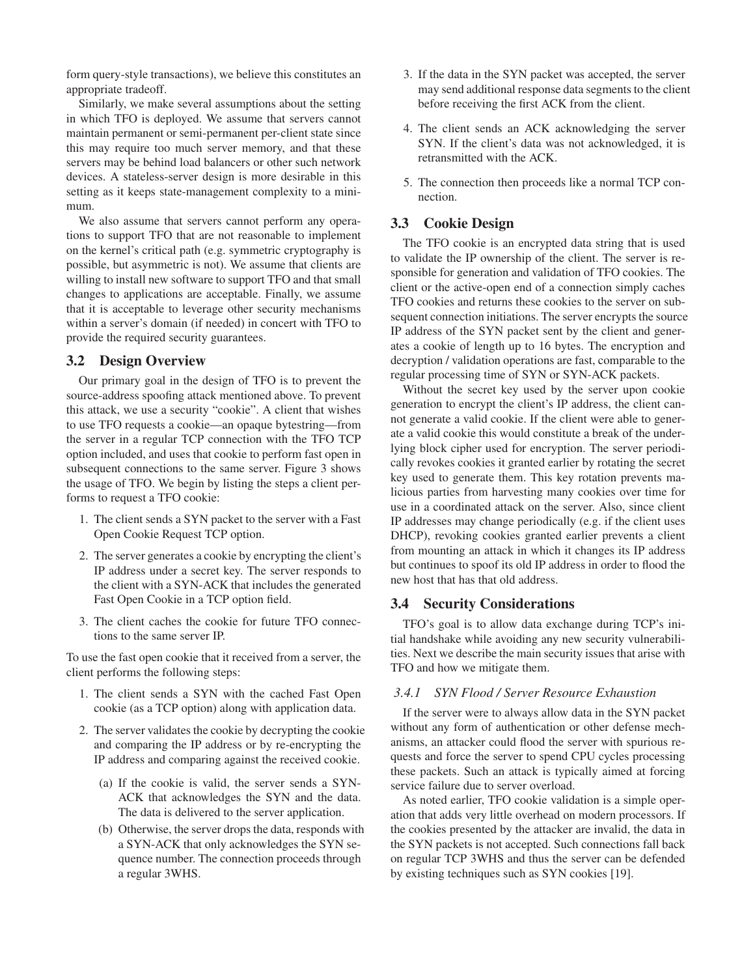form query-style transactions), we believe this constitutes an appropriate tradeoff.

Similarly, we make several assumptions about the setting in which TFO is deployed. We assume that servers cannot maintain permanent or semi-permanent per-client state since this may require too much server memory, and that these servers may be behind load balancers or other such network devices. A stateless-server design is more desirable in this setting as it keeps state-management complexity to a minimum.

We also assume that servers cannot perform any operations to support TFO that are not reasonable to implement on the kernel's critical path (e.g. symmetric cryptography is possible, but asymmetric is not). We assume that clients are willing to install new software to support TFO and that small changes to applications are acceptable. Finally, we assume that it is acceptable to leverage other security mechanisms within a server's domain (if needed) in concert with TFO to provide the required security guarantees.

#### **3.2 Design Overview**

Our primary goal in the design of TFO is to prevent the source-address spoofing attack mentioned above. To prevent this attack, we use a security "cookie". A client that wishes to use TFO requests a cookie—an opaque bytestring—from the server in a regular TCP connection with the TFO TCP option included, and uses that cookie to perform fast open in subsequent connections to the same server. Figure 3 shows the usage of TFO. We begin by listing the steps a client performs to request a TFO cookie:

- 1. The client sends a SYN packet to the server with a Fast Open Cookie Request TCP option.
- 2. The server generates a cookie by encrypting the client's IP address under a secret key. The server responds to the client with a SYN-ACK that includes the generated Fast Open Cookie in a TCP option field.
- 3. The client caches the cookie for future TFO connections to the same server IP.

To use the fast open cookie that it received from a server, the client performs the following steps:

- 1. The client sends a SYN with the cached Fast Open cookie (as a TCP option) along with application data.
- 2. The server validates the cookie by decrypting the cookie and comparing the IP address or by re-encrypting the IP address and comparing against the received cookie.
	- (a) If the cookie is valid, the server sends a SYN-ACK that acknowledges the SYN and the data. The data is delivered to the server application.
	- (b) Otherwise, the server drops the data, responds with a SYN-ACK that only acknowledges the SYN sequence number. The connection proceeds through a regular 3WHS.
- 3. If the data in the SYN packet was accepted, the server may send additional response data segments to the client before receiving the first ACK from the client.
- 4. The client sends an ACK acknowledging the server SYN. If the client's data was not acknowledged, it is retransmitted with the ACK.
- 5. The connection then proceeds like a normal TCP connection.

# **3.3 Cookie Design**

The TFO cookie is an encrypted data string that is used to validate the IP ownership of the client. The server is responsible for generation and validation of TFO cookies. The client or the active-open end of a connection simply caches TFO cookies and returns these cookies to the server on subsequent connection initiations. The server encrypts the source IP address of the SYN packet sent by the client and generates a cookie of length up to 16 bytes. The encryption and decryption / validation operations are fast, comparable to the regular processing time of SYN or SYN-ACK packets.

Without the secret key used by the server upon cookie generation to encrypt the client's IP address, the client cannot generate a valid cookie. If the client were able to generate a valid cookie this would constitute a break of the underlying block cipher used for encryption. The server periodically revokes cookies it granted earlier by rotating the secret key used to generate them. This key rotation prevents malicious parties from harvesting many cookies over time for use in a coordinated attack on the server. Also, since client IP addresses may change periodically (e.g. if the client uses DHCP), revoking cookies granted earlier prevents a client from mounting an attack in which it changes its IP address but continues to spoof its old IP address in order to flood the new host that has that old address.

#### **3.4 Security Considerations**

TFO's goal is to allow data exchange during TCP's initial handshake while avoiding any new security vulnerabilities. Next we describe the main security issues that arise with TFO and how we mitigate them.

#### *3.4.1 SYN Flood / Server Resource Exhaustion*

If the server were to always allow data in the SYN packet without any form of authentication or other defense mechanisms, an attacker could flood the server with spurious requests and force the server to spend CPU cycles processing these packets. Such an attack is typically aimed at forcing service failure due to server overload.

As noted earlier, TFO cookie validation is a simple operation that adds very little overhead on modern processors. If the cookies presented by the attacker are invalid, the data in the SYN packets is not accepted. Such connections fall back on regular TCP 3WHS and thus the server can be defended by existing techniques such as SYN cookies [19].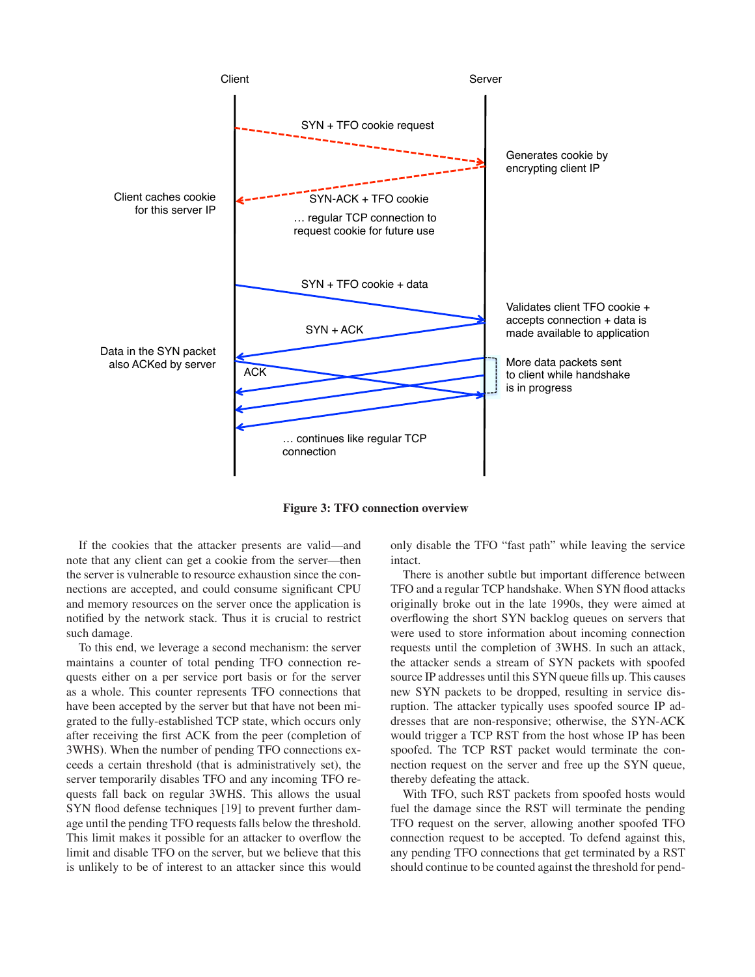

**Figure 3: TFO connection overview**

If the cookies that the attacker presents are valid—and note that any client can get a cookie from the server—then the server is vulnerable to resource exhaustion since the connections are accepted, and could consume significant CPU and memory resources on the server once the application is notified by the network stack. Thus it is crucial to restrict such damage.

To this end, we leverage a second mechanism: the server maintains a counter of total pending TFO connection requests either on a per service port basis or for the server as a whole. This counter represents TFO connections that have been accepted by the server but that have not been migrated to the fully-established TCP state, which occurs only after receiving the first ACK from the peer (completion of 3WHS). When the number of pending TFO connections exceeds a certain threshold (that is administratively set), the server temporarily disables TFO and any incoming TFO requests fall back on regular 3WHS. This allows the usual SYN flood defense techniques [19] to prevent further damage until the pending TFO requests falls below the threshold. This limit makes it possible for an attacker to overflow the limit and disable TFO on the server, but we believe that this is unlikely to be of interest to an attacker since this would

only disable the TFO "fast path" while leaving the service intact.

There is another subtle but important difference between TFO and a regular TCP handshake. When SYN flood attacks originally broke out in the late 1990s, they were aimed at overflowing the short SYN backlog queues on servers that were used to store information about incoming connection requests until the completion of 3WHS. In such an attack, the attacker sends a stream of SYN packets with spoofed source IP addresses until this SYN queue fills up. This causes new SYN packets to be dropped, resulting in service disruption. The attacker typically uses spoofed source IP addresses that are non-responsive; otherwise, the SYN-ACK would trigger a TCP RST from the host whose IP has been spoofed. The TCP RST packet would terminate the connection request on the server and free up the SYN queue, thereby defeating the attack.

With TFO, such RST packets from spoofed hosts would fuel the damage since the RST will terminate the pending TFO request on the server, allowing another spoofed TFO connection request to be accepted. To defend against this, any pending TFO connections that get terminated by a RST should continue to be counted against the threshold for pend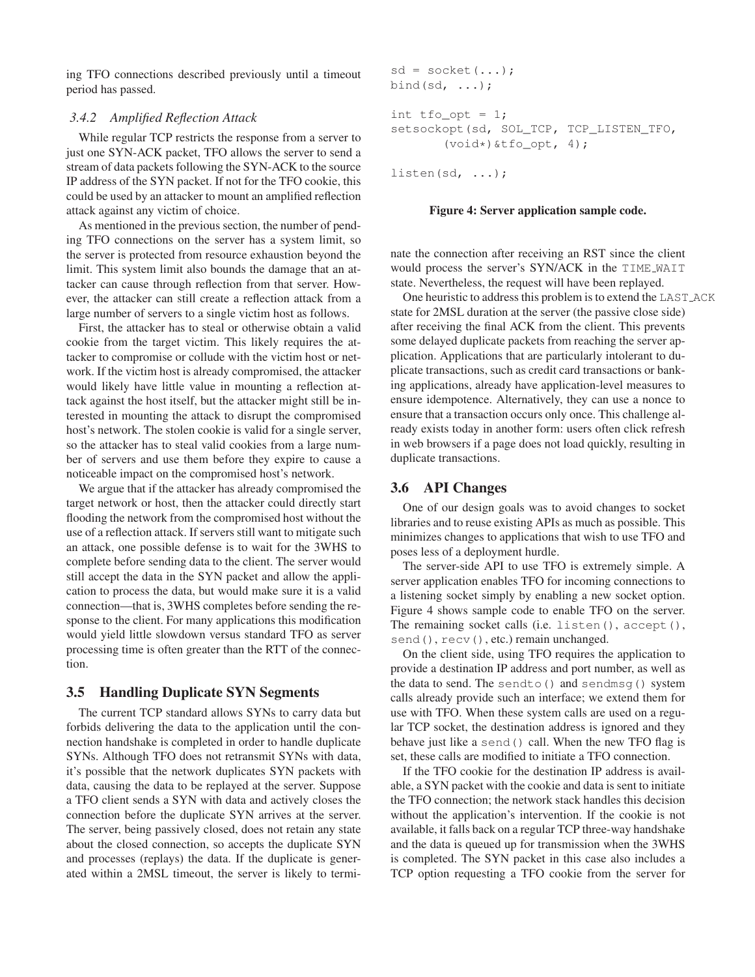ing TFO connections described previously until a timeout period has passed.

#### *3.4.2 Amplified Reflection Attack*

While regular TCP restricts the response from a server to just one SYN-ACK packet, TFO allows the server to send a stream of data packets following the SYN-ACK to the source IP address of the SYN packet. If not for the TFO cookie, this could be used by an attacker to mount an amplified reflection attack against any victim of choice.

As mentioned in the previous section, the number of pending TFO connections on the server has a system limit, so the server is protected from resource exhaustion beyond the limit. This system limit also bounds the damage that an attacker can cause through reflection from that server. However, the attacker can still create a reflection attack from a large number of servers to a single victim host as follows.

First, the attacker has to steal or otherwise obtain a valid cookie from the target victim. This likely requires the attacker to compromise or collude with the victim host or network. If the victim host is already compromised, the attacker would likely have little value in mounting a reflection attack against the host itself, but the attacker might still be interested in mounting the attack to disrupt the compromised host's network. The stolen cookie is valid for a single server, so the attacker has to steal valid cookies from a large number of servers and use them before they expire to cause a noticeable impact on the compromised host's network.

We argue that if the attacker has already compromised the target network or host, then the attacker could directly start flooding the network from the compromised host without the use of a reflection attack. If servers still want to mitigate such an attack, one possible defense is to wait for the 3WHS to complete before sending data to the client. The server would still accept the data in the SYN packet and allow the application to process the data, but would make sure it is a valid connection—that is, 3WHS completes before sending the response to the client. For many applications this modification would yield little slowdown versus standard TFO as server processing time is often greater than the RTT of the connection.

### **3.5 Handling Duplicate SYN Segments**

The current TCP standard allows SYNs to carry data but forbids delivering the data to the application until the connection handshake is completed in order to handle duplicate SYNs. Although TFO does not retransmit SYNs with data, it's possible that the network duplicates SYN packets with data, causing the data to be replayed at the server. Suppose a TFO client sends a SYN with data and actively closes the connection before the duplicate SYN arrives at the server. The server, being passively closed, does not retain any state about the closed connection, so accepts the duplicate SYN and processes (replays) the data. If the duplicate is generated within a 2MSL timeout, the server is likely to termi-

```
sd = socket(...);bind(sd, \ldots);
int t fo_opt = 1;
setsockopt(sd, SOL_TCP, TCP_LISTEN_TFO,
        (void*) &tfo_opt, 4);
```
listen(sd, ...);

#### **Figure 4: Server application sample code.**

nate the connection after receiving an RST since the client would process the server's SYN/ACK in the TIME WAIT state. Nevertheless, the request will have been replayed.

One heuristic to address this problem is to extend the LAST ACK state for 2MSL duration at the server (the passive close side) after receiving the final ACK from the client. This prevents some delayed duplicate packets from reaching the server application. Applications that are particularly intolerant to duplicate transactions, such as credit card transactions or banking applications, already have application-level measures to ensure idempotence. Alternatively, they can use a nonce to ensure that a transaction occurs only once. This challenge already exists today in another form: users often click refresh in web browsers if a page does not load quickly, resulting in duplicate transactions.

#### **3.6 API Changes**

One of our design goals was to avoid changes to socket libraries and to reuse existing APIs as much as possible. This minimizes changes to applications that wish to use TFO and poses less of a deployment hurdle.

The server-side API to use TFO is extremely simple. A server application enables TFO for incoming connections to a listening socket simply by enabling a new socket option. Figure 4 shows sample code to enable TFO on the server. The remaining socket calls (i.e. listen(), accept(), send(),  $recv()$ , etc.) remain unchanged.

On the client side, using TFO requires the application to provide a destination IP address and port number, as well as the data to send. The sendto() and sendmsg() system calls already provide such an interface; we extend them for use with TFO. When these system calls are used on a regular TCP socket, the destination address is ignored and they behave just like a send() call. When the new TFO flag is set, these calls are modified to initiate a TFO connection.

If the TFO cookie for the destination IP address is available, a SYN packet with the cookie and data is sent to initiate the TFO connection; the network stack handles this decision without the application's intervention. If the cookie is not available, it falls back on a regular TCP three-way handshake and the data is queued up for transmission when the 3WHS is completed. The SYN packet in this case also includes a TCP option requesting a TFO cookie from the server for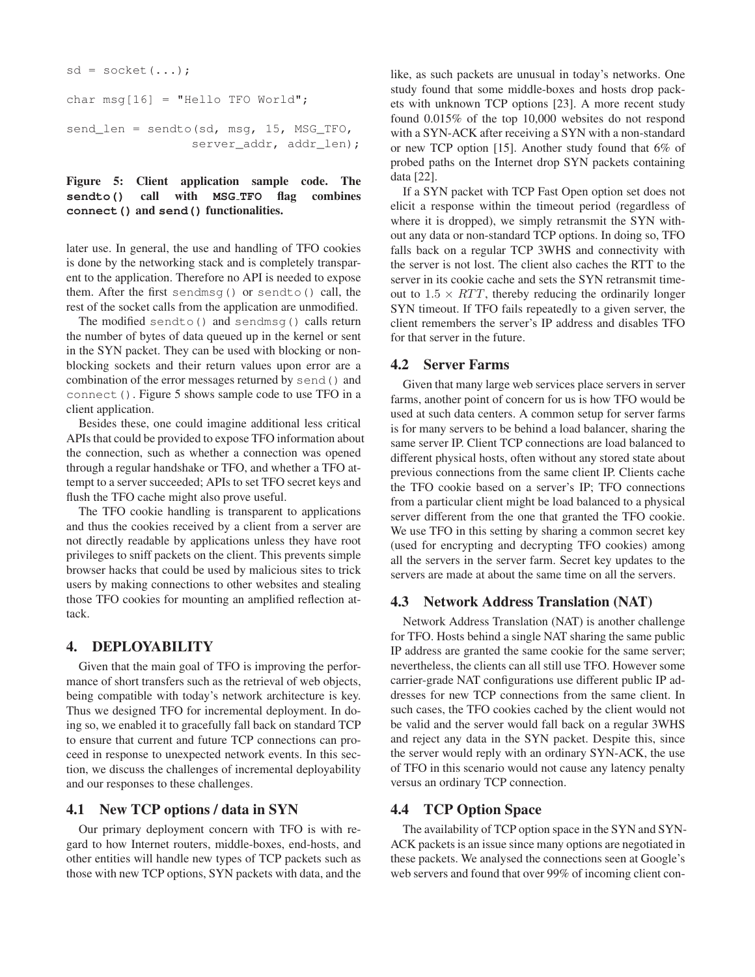```
sd = socket(...);char msg[16] = "Hello TFO World";
send_len = sendto(sd, msg, 15, MSG_TFO,
                 server_addr, addr_len);
```
## **Figure 5: Client application sample code. The sendto() call with MSG TFO flag combines connect() and send() functionalities.**

later use. In general, the use and handling of TFO cookies is done by the networking stack and is completely transparent to the application. Therefore no API is needed to expose them. After the first sendmsg() or sendto() call, the rest of the socket calls from the application are unmodified.

The modified sendto() and sendmsg() calls return the number of bytes of data queued up in the kernel or sent in the SYN packet. They can be used with blocking or nonblocking sockets and their return values upon error are a combination of the error messages returned by send() and connect(). Figure 5 shows sample code to use TFO in a client application.

Besides these, one could imagine additional less critical APIs that could be provided to expose TFO information about the connection, such as whether a connection was opened through a regular handshake or TFO, and whether a TFO attempt to a server succeeded; APIs to set TFO secret keys and flush the TFO cache might also prove useful.

The TFO cookie handling is transparent to applications and thus the cookies received by a client from a server are not directly readable by applications unless they have root privileges to sniff packets on the client. This prevents simple browser hacks that could be used by malicious sites to trick users by making connections to other websites and stealing those TFO cookies for mounting an amplified reflection attack.

# **4. DEPLOYABILITY**

Given that the main goal of TFO is improving the performance of short transfers such as the retrieval of web objects, being compatible with today's network architecture is key. Thus we designed TFO for incremental deployment. In doing so, we enabled it to gracefully fall back on standard TCP to ensure that current and future TCP connections can proceed in response to unexpected network events. In this section, we discuss the challenges of incremental deployability and our responses to these challenges.

## **4.1 New TCP options / data in SYN**

Our primary deployment concern with TFO is with regard to how Internet routers, middle-boxes, end-hosts, and other entities will handle new types of TCP packets such as those with new TCP options, SYN packets with data, and the like, as such packets are unusual in today's networks. One study found that some middle-boxes and hosts drop packets with unknown TCP options [23]. A more recent study found 0.015% of the top 10,000 websites do not respond with a SYN-ACK after receiving a SYN with a non-standard or new TCP option [15]. Another study found that 6% of probed paths on the Internet drop SYN packets containing data [22].

If a SYN packet with TCP Fast Open option set does not elicit a response within the timeout period (regardless of where it is dropped), we simply retransmit the SYN without any data or non-standard TCP options. In doing so, TFO falls back on a regular TCP 3WHS and connectivity with the server is not lost. The client also caches the RTT to the server in its cookie cache and sets the SYN retransmit timeout to  $1.5 \times RTT$ , thereby reducing the ordinarily longer SYN timeout. If TFO fails repeatedly to a given server, the client remembers the server's IP address and disables TFO for that server in the future.

# **4.2 Server Farms**

Given that many large web services place servers in server farms, another point of concern for us is how TFO would be used at such data centers. A common setup for server farms is for many servers to be behind a load balancer, sharing the same server IP. Client TCP connections are load balanced to different physical hosts, often without any stored state about previous connections from the same client IP. Clients cache the TFO cookie based on a server's IP; TFO connections from a particular client might be load balanced to a physical server different from the one that granted the TFO cookie. We use TFO in this setting by sharing a common secret key (used for encrypting and decrypting TFO cookies) among all the servers in the server farm. Secret key updates to the servers are made at about the same time on all the servers.

# **4.3 Network Address Translation (NAT)**

Network Address Translation (NAT) is another challenge for TFO. Hosts behind a single NAT sharing the same public IP address are granted the same cookie for the same server; nevertheless, the clients can all still use TFO. However some carrier-grade NAT configurations use different public IP addresses for new TCP connections from the same client. In such cases, the TFO cookies cached by the client would not be valid and the server would fall back on a regular 3WHS and reject any data in the SYN packet. Despite this, since the server would reply with an ordinary SYN-ACK, the use of TFO in this scenario would not cause any latency penalty versus an ordinary TCP connection.

# **4.4 TCP Option Space**

The availability of TCP option space in the SYN and SYN-ACK packets is an issue since many options are negotiated in these packets. We analysed the connections seen at Google's web servers and found that over 99% of incoming client con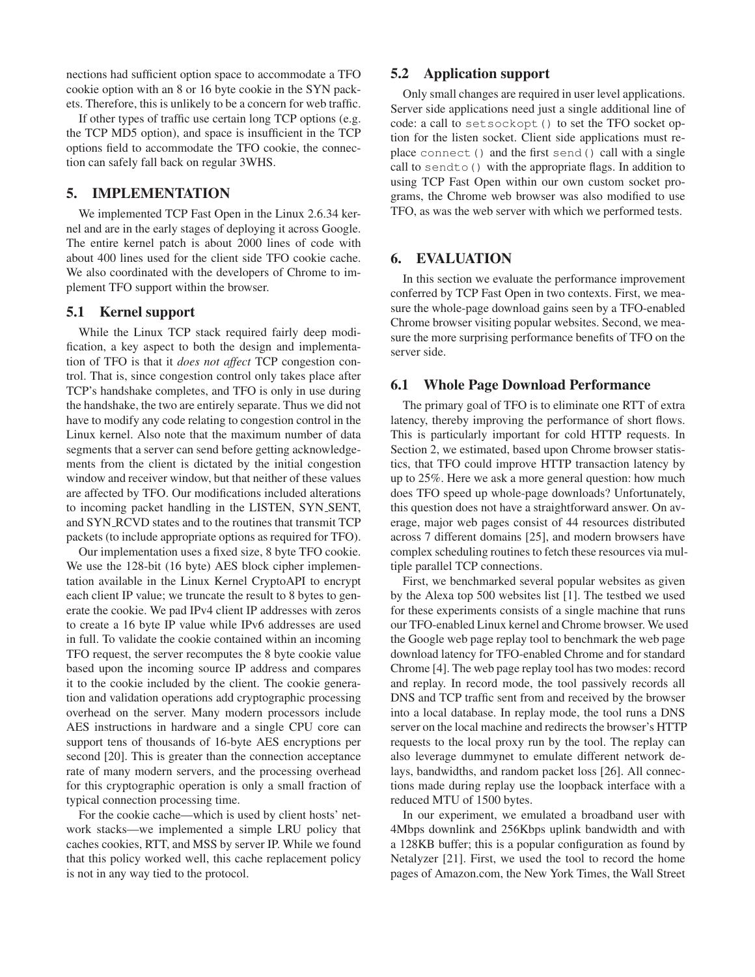nections had sufficient option space to accommodate a TFO cookie option with an 8 or 16 byte cookie in the SYN packets. Therefore, this is unlikely to be a concern for web traffic.

If other types of traffic use certain long TCP options (e.g. the TCP MD5 option), and space is insufficient in the TCP options field to accommodate the TFO cookie, the connection can safely fall back on regular 3WHS.

## **5. IMPLEMENTATION**

We implemented TCP Fast Open in the Linux 2.6.34 kernel and are in the early stages of deploying it across Google. The entire kernel patch is about 2000 lines of code with about 400 lines used for the client side TFO cookie cache. We also coordinated with the developers of Chrome to implement TFO support within the browser.

## **5.1 Kernel support**

While the Linux TCP stack required fairly deep modification, a key aspect to both the design and implementation of TFO is that it *does not affect* TCP congestion control. That is, since congestion control only takes place after TCP's handshake completes, and TFO is only in use during the handshake, the two are entirely separate. Thus we did not have to modify any code relating to congestion control in the Linux kernel. Also note that the maximum number of data segments that a server can send before getting acknowledgements from the client is dictated by the initial congestion window and receiver window, but that neither of these values are affected by TFO. Our modifications included alterations to incoming packet handling in the LISTEN, SYN\_SENT, and SYN RCVD states and to the routines that transmit TCP packets (to include appropriate options as required for TFO).

Our implementation uses a fixed size, 8 byte TFO cookie. We use the 128-bit (16 byte) AES block cipher implementation available in the Linux Kernel CryptoAPI to encrypt each client IP value; we truncate the result to 8 bytes to generate the cookie. We pad IPv4 client IP addresses with zeros to create a 16 byte IP value while IPv6 addresses are used in full. To validate the cookie contained within an incoming TFO request, the server recomputes the 8 byte cookie value based upon the incoming source IP address and compares it to the cookie included by the client. The cookie generation and validation operations add cryptographic processing overhead on the server. Many modern processors include AES instructions in hardware and a single CPU core can support tens of thousands of 16-byte AES encryptions per second [20]. This is greater than the connection acceptance rate of many modern servers, and the processing overhead for this cryptographic operation is only a small fraction of typical connection processing time.

For the cookie cache—which is used by client hosts' network stacks—we implemented a simple LRU policy that caches cookies, RTT, and MSS by server IP. While we found that this policy worked well, this cache replacement policy is not in any way tied to the protocol.

## **5.2 Application support**

Only small changes are required in user level applications. Server side applications need just a single additional line of code: a call to setsockopt() to set the TFO socket option for the listen socket. Client side applications must replace connect() and the first send() call with a single call to sendto() with the appropriate flags. In addition to using TCP Fast Open within our own custom socket programs, the Chrome web browser was also modified to use TFO, as was the web server with which we performed tests.

## **6. EVALUATION**

In this section we evaluate the performance improvement conferred by TCP Fast Open in two contexts. First, we measure the whole-page download gains seen by a TFO-enabled Chrome browser visiting popular websites. Second, we measure the more surprising performance benefits of TFO on the server side.

#### **6.1 Whole Page Download Performance**

The primary goal of TFO is to eliminate one RTT of extra latency, thereby improving the performance of short flows. This is particularly important for cold HTTP requests. In Section 2, we estimated, based upon Chrome browser statistics, that TFO could improve HTTP transaction latency by up to 25%. Here we ask a more general question: how much does TFO speed up whole-page downloads? Unfortunately, this question does not have a straightforward answer. On average, major web pages consist of 44 resources distributed across 7 different domains [25], and modern browsers have complex scheduling routines to fetch these resources via multiple parallel TCP connections.

First, we benchmarked several popular websites as given by the Alexa top 500 websites list [1]. The testbed we used for these experiments consists of a single machine that runs our TFO-enabled Linux kernel and Chrome browser. We used the Google web page replay tool to benchmark the web page download latency for TFO-enabled Chrome and for standard Chrome [4]. The web page replay tool has two modes: record and replay. In record mode, the tool passively records all DNS and TCP traffic sent from and received by the browser into a local database. In replay mode, the tool runs a DNS server on the local machine and redirects the browser's HTTP requests to the local proxy run by the tool. The replay can also leverage dummynet to emulate different network delays, bandwidths, and random packet loss [26]. All connections made during replay use the loopback interface with a reduced MTU of 1500 bytes.

In our experiment, we emulated a broadband user with 4Mbps downlink and 256Kbps uplink bandwidth and with a 128KB buffer; this is a popular configuration as found by Netalyzer [21]. First, we used the tool to record the home pages of Amazon.com, the New York Times, the Wall Street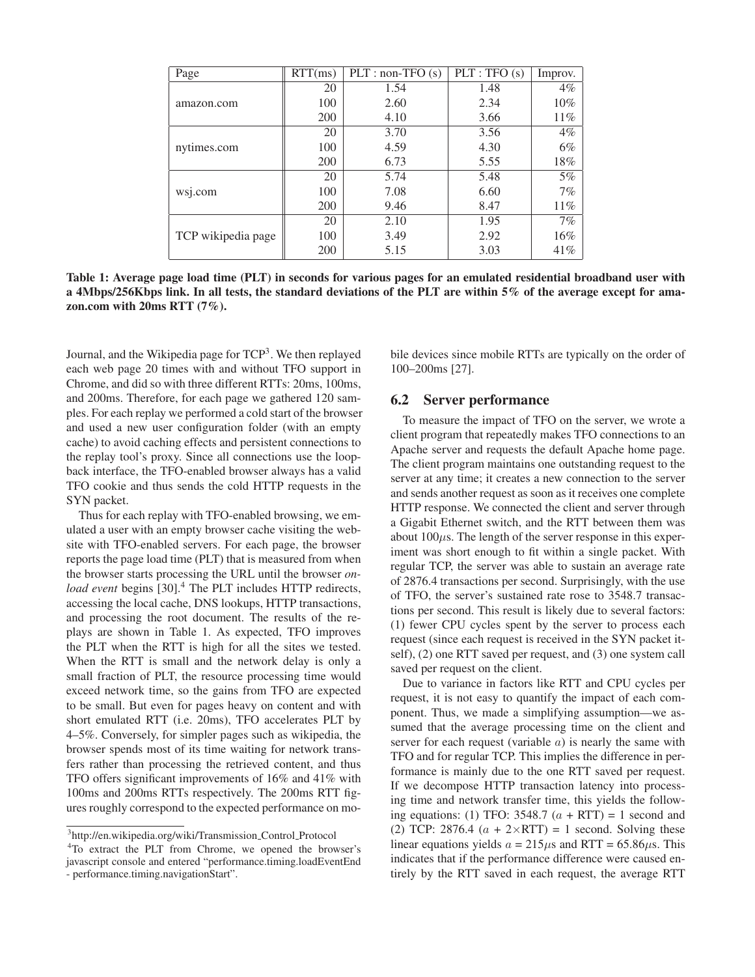| Page               | RTT(ms) | $PLT: non-TFO(s)$ | PLT: TFO(s) | Improv. |
|--------------------|---------|-------------------|-------------|---------|
| amazon.com         | 20      | 1.54              | 1.48        | $4\%$   |
|                    | 100     | 2.60              | 2.34        | $10\%$  |
|                    | 200     | 4.10              | 3.66        | 11%     |
| nytimes.com        | 20      | 3.70              | 3.56        | $4\%$   |
|                    | 100     | 4.59              | 4.30        | 6%      |
|                    | 200     | 6.73              | 5.55        | 18%     |
| wsj.com            | 20      | 5.74              | 5.48        | $5\%$   |
|                    | 100     | 7.08              | 6.60        | 7%      |
|                    | 200     | 9.46              | 8.47        | 11%     |
| TCP wikipedia page | 20      | 2.10              | 1.95        | 7%      |
|                    | 100     | 3.49              | 2.92        | 16%     |
|                    | 200     | 5.15              | 3.03        | 41%     |

**Table 1: Average page load time (PLT) in seconds for various pages for an emulated residential broadband user with a 4Mbps/256Kbps link. In all tests, the standard deviations of the PLT are within 5% of the average except for amazon.com with 20ms RTT (7%).**

Journal, and the Wikipedia page for TCP<sup>3</sup>. We then replayed each web page 20 times with and without TFO support in Chrome, and did so with three different RTTs: 20ms, 100ms, and 200ms. Therefore, for each page we gathered 120 samples. For each replay we performed a cold start of the browser and used a new user configuration folder (with an empty cache) to avoid caching effects and persistent connections to the replay tool's proxy. Since all connections use the loopback interface, the TFO-enabled browser always has a valid TFO cookie and thus sends the cold HTTP requests in the SYN packet.

Thus for each replay with TFO-enabled browsing, we emulated a user with an empty browser cache visiting the website with TFO-enabled servers. For each page, the browser reports the page load time (PLT) that is measured from when the browser starts processing the URL until the browser *onload event* begins [30].<sup>4</sup> The PLT includes HTTP redirects, accessing the local cache, DNS lookups, HTTP transactions, and processing the root document. The results of the replays are shown in Table 1. As expected, TFO improves the PLT when the RTT is high for all the sites we tested. When the RTT is small and the network delay is only a small fraction of PLT, the resource processing time would exceed network time, so the gains from TFO are expected to be small. But even for pages heavy on content and with short emulated RTT (i.e. 20ms), TFO accelerates PLT by 4–5%. Conversely, for simpler pages such as wikipedia, the browser spends most of its time waiting for network transfers rather than processing the retrieved content, and thus TFO offers significant improvements of 16% and 41% with 100ms and 200ms RTTs respectively. The 200ms RTT figures roughly correspond to the expected performance on mobile devices since mobile RTTs are typically on the order of 100–200ms [27].

## **6.2 Server performance**

To measure the impact of TFO on the server, we wrote a client program that repeatedly makes TFO connections to an Apache server and requests the default Apache home page. The client program maintains one outstanding request to the server at any time; it creates a new connection to the server and sends another request as soon as it receives one complete HTTP response. We connected the client and server through a Gigabit Ethernet switch, and the RTT between them was about  $100\mu$ s. The length of the server response in this experiment was short enough to fit within a single packet. With regular TCP, the server was able to sustain an average rate of 2876.4 transactions per second. Surprisingly, with the use of TFO, the server's sustained rate rose to 3548.7 transactions per second. This result is likely due to several factors: (1) fewer CPU cycles spent by the server to process each request (since each request is received in the SYN packet itself), (2) one RTT saved per request, and (3) one system call saved per request on the client.

Due to variance in factors like RTT and CPU cycles per request, it is not easy to quantify the impact of each component. Thus, we made a simplifying assumption—we assumed that the average processing time on the client and server for each request (variable  $a$ ) is nearly the same with TFO and for regular TCP. This implies the difference in performance is mainly due to the one RTT saved per request. If we decompose HTTP transaction latency into processing time and network transfer time, this yields the following equations: (1) TFO: 3548.7  $(a + RTT) = 1$  second and (2) TCP: 2876.4  $(a + 2 \times RTT) = 1$  second. Solving these linear equations yields  $a = 215 \mu s$  and RTT = 65.86 $\mu s$ . This indicates that if the performance difference were caused entirely by the RTT saved in each request, the average RTT

<sup>&</sup>lt;sup>3</sup>http://en.wikipedia.org/wiki/Transmission\_Control\_Protocol

<sup>&</sup>lt;sup>4</sup>To extract the PLT from Chrome, we opened the browser's javascript console and entered "performance.timing.loadEventEnd - performance.timing.navigationStart".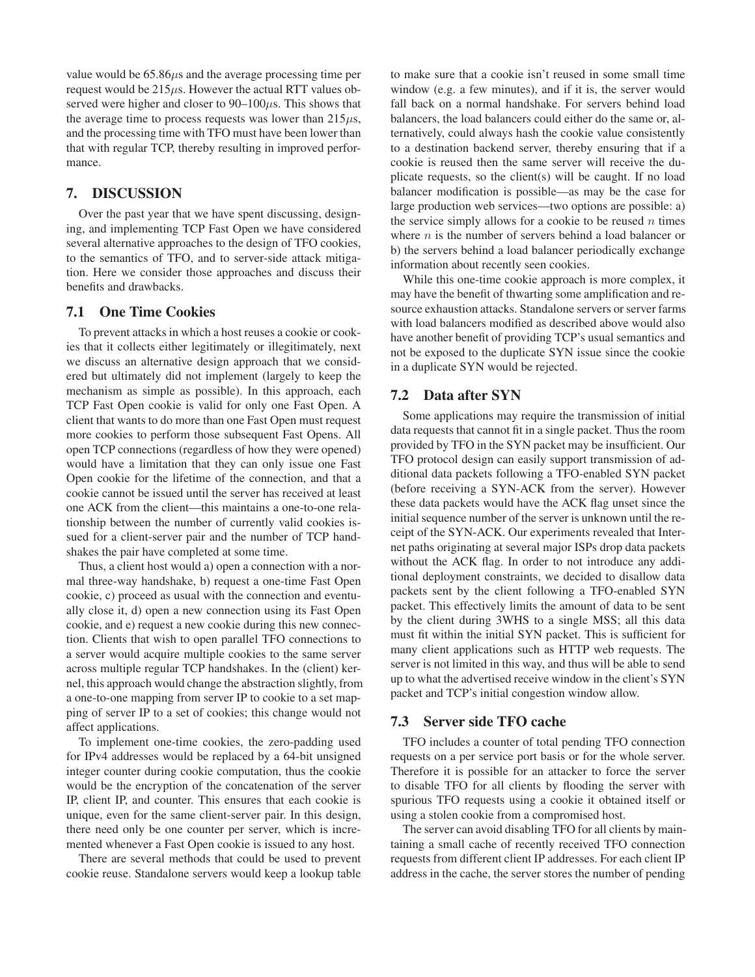value would be  $65.86\mu s$  and the average processing time per request would be  $215\mu s$ . However the actual RTT values observed were higher and closer to  $90-100\mu s$ . This shows that the average time to process requests was lower than  $215\mu s$ , and the processing time with TFO must have been lower than that with regular TCP, thereby resulting in improved performance.

# **7. DISCUSSION**

Over the past year that we have spent discussing, designing, and implementing TCP Fast Open we have considered several alternative approaches to the design of TFO cookies, to the semantics of TFO, and to server-side attack mitigation. Here we consider those approaches and discuss their benefits and drawbacks.

## **7.1 One Time Cookies**

To prevent attacks in which a host reuses a cookie or cookies that it collects either legitimately or illegitimately, next we discuss an alternative design approach that we considered but ultimately did not implement (largely to keep the mechanism as simple as possible). In this approach, each TCP Fast Open cookie is valid for only one Fast Open. A client that wants to do more than one Fast Open must request more cookies to perform those subsequent Fast Opens. All open TCP connections (regardless of how they were opened) would have a limitation that they can only issue one Fast Open cookie for the lifetime of the connection, and that a cookie cannot be issued until the server has received at least one ACK from the client—this maintains a one-to-one relationship between the number of currently valid cookies issued for a client-server pair and the number of TCP handshakes the pair have completed at some time.

Thus, a client host would a) open a connection with a normal three-way handshake, b) request a one-time Fast Open cookie, c) proceed as usual with the connection and eventually close it, d) open a new connection using its Fast Open cookie, and e) request a new cookie during this new connection. Clients that wish to open parallel TFO connections to a server would acquire multiple cookies to the same server across multiple regular TCP handshakes. In the (client) kernel, this approach would change the abstraction slightly, from a one-to-one mapping from server IP to cookie to a set mapping of server IP to a set of cookies; this change would not affect applications.

To implement one-time cookies, the zero-padding used for IPv4 addresses would be replaced by a 64-bit unsigned integer counter during cookie computation, thus the cookie would be the encryption of the concatenation of the server IP, client IP, and counter. This ensures that each cookie is unique, even for the same client-server pair. In this design, there need only be one counter per server, which is incremented whenever a Fast Open cookie is issued to any host.

There are several methods that could be used to prevent cookie reuse. Standalone servers would keep a lookup table

to make sure that a cookie isn't reused in some small time window (e.g. a few minutes), and if it is, the server would fall back on a normal handshake. For servers behind load balancers, the load balancers could either do the same or, alternatively, could always hash the cookie value consistently to a destination backend server, thereby ensuring that if a cookie is reused then the same server will receive the duplicate requests, so the client(s) will be caught. If no load balancer modification is possible—as may be the case for large production web services—two options are possible: a) the service simply allows for a cookie to be reused  $n$  times where  $n$  is the number of servers behind a load balancer or b) the servers behind a load balancer periodically exchange information about recently seen cookies.

While this one-time cookie approach is more complex, it may have the benefit of thwarting some amplification and resource exhaustion attacks. Standalone servers or server farms with load balancers modified as described above would also have another benefit of providing TCP's usual semantics and not be exposed to the duplicate SYN issue since the cookie in a duplicate SYN would be rejected.

### **7.2 Data after SYN**

Some applications may require the transmission of initial data requests that cannot fit in a single packet. Thus the room provided by TFO in the SYN packet may be insufficient. Our TFO protocol design can easily support transmission of additional data packets following a TFO-enabled SYN packet (before receiving a SYN-ACK from the server). However these data packets would have the ACK flag unset since the initial sequence number of the server is unknown until the receipt of the SYN-ACK. Our experiments revealed that Internet paths originating at several major ISPs drop data packets without the ACK flag. In order to not introduce any additional deployment constraints, we decided to disallow data packets sent by the client following a TFO-enabled SYN packet. This effectively limits the amount of data to be sent by the client during 3WHS to a single MSS; all this data must fit within the initial SYN packet. This is sufficient for many client applications such as HTTP web requests. The server is not limited in this way, and thus will be able to send up to what the advertised receive window in the client's SYN packet and TCP's initial congestion window allow.

#### **7.3 Server side TFO cache**

TFO includes a counter of total pending TFO connection requests on a per service port basis or for the whole server. Therefore it is possible for an attacker to force the server to disable TFO for all clients by flooding the server with spurious TFO requests using a cookie it obtained itself or using a stolen cookie from a compromised host.

The server can avoid disabling TFO for all clients by maintaining a small cache of recently received TFO connection requests from different client IP addresses. For each client IP address in the cache, the server stores the number of pending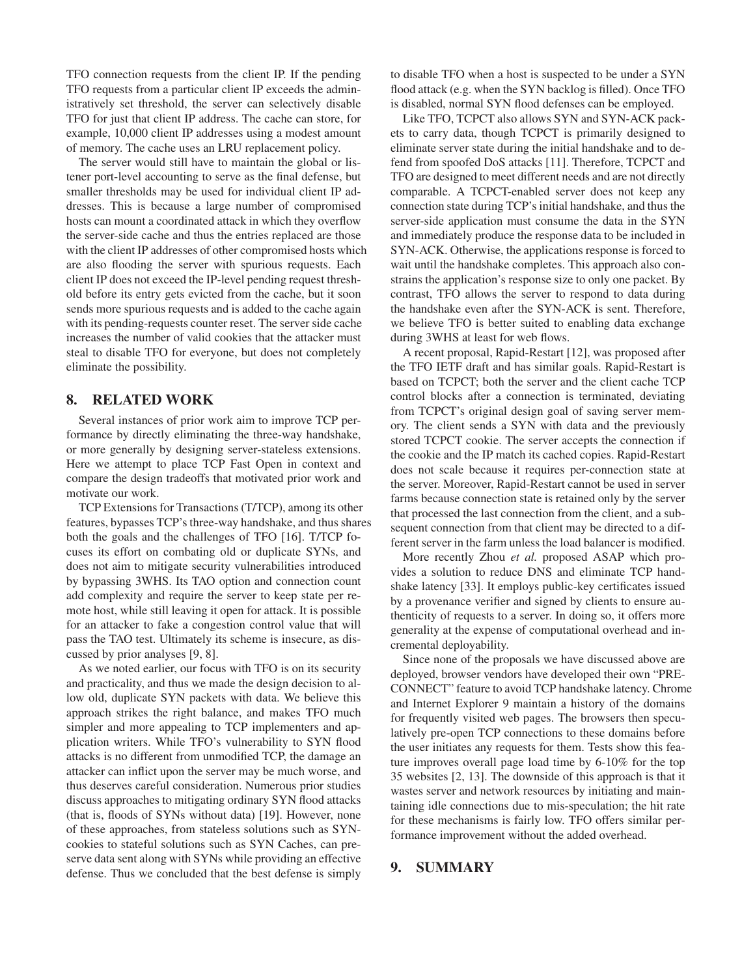TFO connection requests from the client IP. If the pending TFO requests from a particular client IP exceeds the administratively set threshold, the server can selectively disable TFO for just that client IP address. The cache can store, for example, 10,000 client IP addresses using a modest amount of memory. The cache uses an LRU replacement policy.

The server would still have to maintain the global or listener port-level accounting to serve as the final defense, but smaller thresholds may be used for individual client IP addresses. This is because a large number of compromised hosts can mount a coordinated attack in which they overflow the server-side cache and thus the entries replaced are those with the client IP addresses of other compromised hosts which are also flooding the server with spurious requests. Each client IP does not exceed the IP-level pending request threshold before its entry gets evicted from the cache, but it soon sends more spurious requests and is added to the cache again with its pending-requests counter reset. The server side cache increases the number of valid cookies that the attacker must steal to disable TFO for everyone, but does not completely eliminate the possibility.

# **8. RELATED WORK**

Several instances of prior work aim to improve TCP performance by directly eliminating the three-way handshake, or more generally by designing server-stateless extensions. Here we attempt to place TCP Fast Open in context and compare the design tradeoffs that motivated prior work and motivate our work.

TCP Extensions for Transactions (T/TCP), among its other features, bypasses TCP's three-way handshake, and thus shares both the goals and the challenges of TFO [16]. T/TCP focuses its effort on combating old or duplicate SYNs, and does not aim to mitigate security vulnerabilities introduced by bypassing 3WHS. Its TAO option and connection count add complexity and require the server to keep state per remote host, while still leaving it open for attack. It is possible for an attacker to fake a congestion control value that will pass the TAO test. Ultimately its scheme is insecure, as discussed by prior analyses [9, 8].

As we noted earlier, our focus with TFO is on its security and practicality, and thus we made the design decision to allow old, duplicate SYN packets with data. We believe this approach strikes the right balance, and makes TFO much simpler and more appealing to TCP implementers and application writers. While TFO's vulnerability to SYN flood attacks is no different from unmodified TCP, the damage an attacker can inflict upon the server may be much worse, and thus deserves careful consideration. Numerous prior studies discuss approaches to mitigating ordinary SYN flood attacks (that is, floods of SYNs without data) [19]. However, none of these approaches, from stateless solutions such as SYNcookies to stateful solutions such as SYN Caches, can preserve data sent along with SYNs while providing an effective defense. Thus we concluded that the best defense is simply

to disable TFO when a host is suspected to be under a SYN flood attack (e.g. when the SYN backlog is filled). Once TFO is disabled, normal SYN flood defenses can be employed.

Like TFO, TCPCT also allows SYN and SYN-ACK packets to carry data, though TCPCT is primarily designed to eliminate server state during the initial handshake and to defend from spoofed DoS attacks [11]. Therefore, TCPCT and TFO are designed to meet different needs and are not directly comparable. A TCPCT-enabled server does not keep any connection state during TCP's initial handshake, and thus the server-side application must consume the data in the SYN and immediately produce the response data to be included in SYN-ACK. Otherwise, the applications response is forced to wait until the handshake completes. This approach also constrains the application's response size to only one packet. By contrast, TFO allows the server to respond to data during the handshake even after the SYN-ACK is sent. Therefore, we believe TFO is better suited to enabling data exchange during 3WHS at least for web flows.

A recent proposal, Rapid-Restart [12], was proposed after the TFO IETF draft and has similar goals. Rapid-Restart is based on TCPCT; both the server and the client cache TCP control blocks after a connection is terminated, deviating from TCPCT's original design goal of saving server memory. The client sends a SYN with data and the previously stored TCPCT cookie. The server accepts the connection if the cookie and the IP match its cached copies. Rapid-Restart does not scale because it requires per-connection state at the server. Moreover, Rapid-Restart cannot be used in server farms because connection state is retained only by the server that processed the last connection from the client, and a subsequent connection from that client may be directed to a different server in the farm unless the load balancer is modified.

More recently Zhou *et al.* proposed ASAP which provides a solution to reduce DNS and eliminate TCP handshake latency [33]. It employs public-key certificates issued by a provenance verifier and signed by clients to ensure authenticity of requests to a server. In doing so, it offers more generality at the expense of computational overhead and incremental deployability.

Since none of the proposals we have discussed above are deployed, browser vendors have developed their own "PRE-CONNECT" feature to avoid TCP handshake latency. Chrome and Internet Explorer 9 maintain a history of the domains for frequently visited web pages. The browsers then speculatively pre-open TCP connections to these domains before the user initiates any requests for them. Tests show this feature improves overall page load time by 6-10% for the top 35 websites [2, 13]. The downside of this approach is that it wastes server and network resources by initiating and maintaining idle connections due to mis-speculation; the hit rate for these mechanisms is fairly low. TFO offers similar performance improvement without the added overhead.

# **9. SUMMARY**